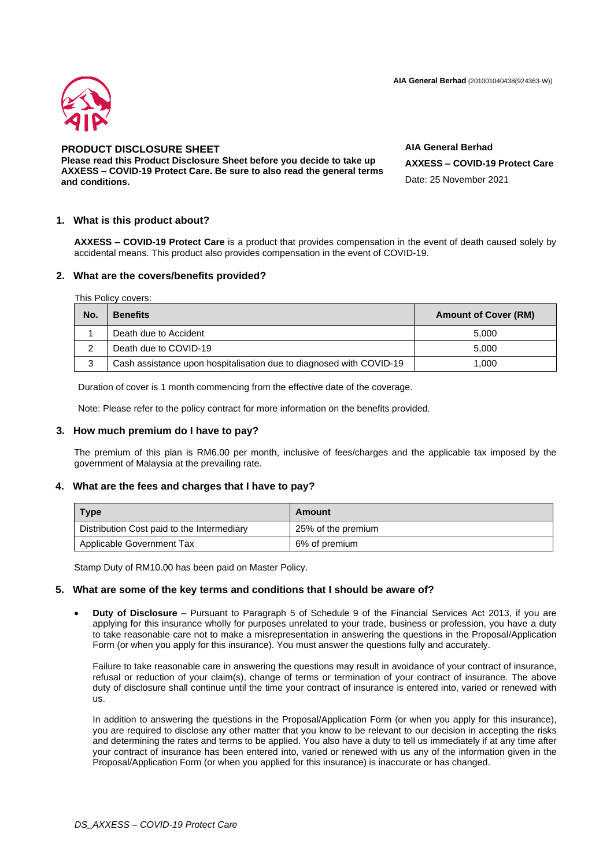**AIA General Berhad** (201001040438(924363-W))



# **PRODUCT DISCLOSURE SHEET**

**Please read this Product Disclosure Sheet before you decide to take up AXXESS – COVID-19 Protect Care. Be sure to also read the general terms and conditions.**

**AIA General Berhad AXXESS – COVID-19 Protect Care** Date: 25 November 2021

## **1. What is this product about?**

**AXXESS – COVID-19 Protect Care** is a product that provides compensation in the event of death caused solely by accidental means. This product also provides compensation in the event of COVID-19.

## **2. What are the covers/benefits provided?**

This Policy covers:

| No. | <b>Benefits</b>                                                     | <b>Amount of Cover (RM)</b> |
|-----|---------------------------------------------------------------------|-----------------------------|
|     | Death due to Accident                                               | 5.000                       |
|     | Death due to COVID-19                                               | 5.000                       |
|     | Cash assistance upon hospitalisation due to diagnosed with COVID-19 | 1.000                       |

Duration of cover is 1 month commencing from the effective date of the coverage.

Note: Please refer to the policy contract for more information on the benefits provided.

### **3. How much premium do I have to pay?**

The premium of this plan is RM6.00 per month, inclusive of fees/charges and the applicable tax imposed by the government of Malaysia at the prevailing rate.

## **4. What are the fees and charges that I have to pay?**

| <b>Type</b>                                | Amount             |
|--------------------------------------------|--------------------|
| Distribution Cost paid to the Intermediary | 25% of the premium |
| Applicable Government Tax                  | 6% of premium      |

Stamp Duty of RM10.00 has been paid on Master Policy.

#### **5. What are some of the key terms and conditions that I should be aware of?**

• **Duty of Disclosure** – Pursuant to Paragraph 5 of Schedule 9 of the Financial Services Act 2013, if you are applying for this insurance wholly for purposes unrelated to your trade, business or profession, you have a duty to take reasonable care not to make a misrepresentation in answering the questions in the Proposal/Application Form (or when you apply for this insurance). You must answer the questions fully and accurately.

Failure to take reasonable care in answering the questions may result in avoidance of your contract of insurance, refusal or reduction of your claim(s), change of terms or termination of your contract of insurance. The above duty of disclosure shall continue until the time your contract of insurance is entered into, varied or renewed with us.

In addition to answering the questions in the Proposal/Application Form (or when you apply for this insurance), you are required to disclose any other matter that you know to be relevant to our decision in accepting the risks and determining the rates and terms to be applied. You also have a duty to tell us immediately if at any time after your contract of insurance has been entered into, varied or renewed with us any of the information given in the Proposal/Application Form (or when you applied for this insurance) is inaccurate or has changed.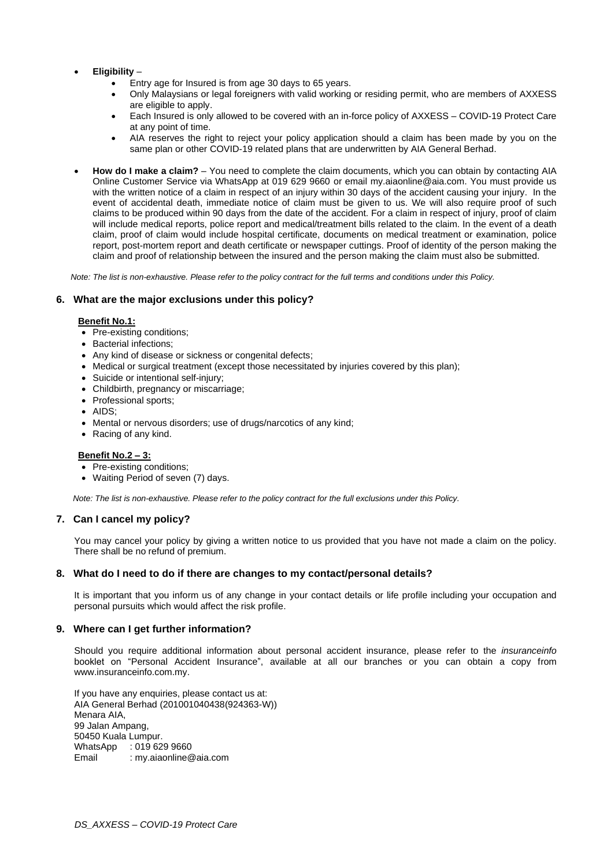## • **Eligibility** –

- Entry age for Insured is from age 30 days to 65 years.
- Only Malaysians or legal foreigners with valid working or residing permit, who are members of AXXESS are eligible to apply.
- Each Insured is only allowed to be covered with an in-force policy of AXXESS COVID-19 Protect Care at any point of time.
- AIA reserves the right to reject your policy application should a claim has been made by you on the same plan or other COVID-19 related plans that are underwritten by AIA General Berhad.
- **How do I make a claim?** You need to complete the claim documents, which you can obtain by contacting AIA Online Customer Service via WhatsApp at 019 629 9660 or email my.aiaonline@aia.com. You must provide us with the written notice of a claim in respect of an injury within 30 days of the accident causing your injury. In the event of accidental death, immediate notice of claim must be given to us. We will also require proof of such claims to be produced within 90 days from the date of the accident. For a claim in respect of injury, proof of claim will include medical reports, police report and medical/treatment bills related to the claim. In the event of a death claim, proof of claim would include hospital certificate, documents on medical treatment or examination, police report, post-mortem report and death certificate or newspaper cuttings. Proof of identity of the person making the claim and proof of relationship between the insured and the person making the claim must also be submitted.

*Note: The list is non-exhaustive. Please refer to the policy contract for the full terms and conditions under this Policy.*

## **6. What are the major exclusions under this policy?**

#### **Benefit No.1:**

- Pre-existing conditions;
- Bacterial infections;
- Any kind of disease or sickness or congenital defects;
- Medical or surgical treatment (except those necessitated by injuries covered by this plan);
- Suicide or intentional self-injury;
- Childbirth, pregnancy or miscarriage;
- Professional sports;
- AIDS;
- Mental or nervous disorders; use of drugs/narcotics of any kind;
- Racing of any kind.

#### **Benefit No.2 – 3:**

- Pre-existing conditions;
- Waiting Period of seven (7) days.

*Note: The list is non-exhaustive. Please refer to the policy contract for the full exclusions under this Policy.*

## **7. Can I cancel my policy?**

You may cancel your policy by giving a written notice to us provided that you have not made a claim on the policy. There shall be no refund of premium.

#### **8. What do I need to do if there are changes to my contact/personal details?**

It is important that you inform us of any change in your contact details or life profile including your occupation and personal pursuits which would affect the risk profile.

#### **9. Where can I get further information?**

Should you require additional information about personal accident insurance, please refer to the *insuranceinfo* booklet on "Personal Accident Insurance", available at all our branches or you can obtain a copy from www.insuranceinfo.com.my.

If you have any enquiries, please contact us at: AIA General Berhad (201001040438(924363-W)) Menara AIA, 99 Jalan Ampang, 50450 Kuala Lumpur. WhatsApp : 019 629 9660 Email : my.aiaonline@aia.com